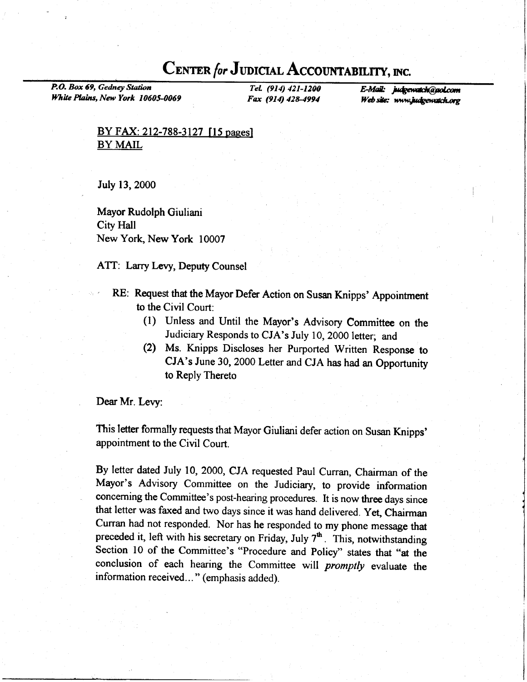## CENTER for JUDICIAL ACCOUNTABILITY, INC.

P.O. Box 69, Gedney Station White Plains, New York 10605-0069

TeL (914) 421-1200 Fax (914) 428-4994

E-Mail: judgewatch@gol.com Web site: www.judgewatch.org

## $BY$  FAX: 212-788-3127 [15 pages] BY MAIL

July 13,2000

Mayor Rudolph Giuliani City Hall New York, New York 10007

ATT: Larry Levy, Deputy Counsel

- RE: Request that the Mayor Defer Action on Susan Knipps' Appointment to the Civil Court:
	- (1) Unless and Until the Mayor's Advisory Committee on the Judiciary Responds to CJA's July 10, 2000 letter; and
	- (2) Ms. Knipps Discloses her purported written Response to CJA's June 30, 2000 Letter and CJA has had an Opportunity to Reply Thereto

Dear Mr. Levy:

This letter formally requests that Mayor Giuliani defer action on Susan Knipps' appointment to the Civil Court.

By letter dated July 10, 2000, CJA requested paul Curran, Chairman of the Mayor's Advisory committee on the Judiciary, to provide information conceming the Committee's post-hearing procedures. It is now three days since that letter was faxed and two days since it was hand delivered. Yet, Chairman Curran had not responded. Nor has he responded to my phone message that preceded it, left with his secretary on Friday, July  $7<sup>th</sup>$ . This, notwithstanding Section 10 of the Committee's "Procedure and Policy" states that "at the conclusion of each hearing the Committee will *promptly* evaluate the information received... " (emphasis added).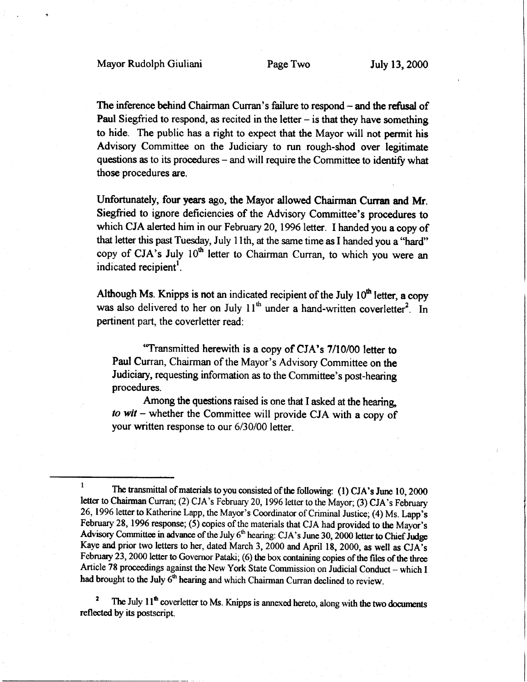The inference behind Chairman Curran's failure to respond – and the refusal of Paul Siegfried to respond, as recited in the letter  $-$  is that they have something to hide. The public has a right to expect that the Mayor will not permit his Advisory Committee on the Judiciary to run rough-shod over legitimate questions as to its procedures – and will require the Committee to identify what those procedures are.

Unfortunately, four years ago, the Mayor allowed Chairman Curran and Mr. Siegfried to ignore deficiencies of the Advisory Committee's procedures to which CJA alerted him in our February 20, 1996 letter. I handed you a copy of that letter this past Tuesday, July I lth, at the same time as I handed you a "hard" copy of CJA's July 10<sup>th</sup> letter to Chairman Curran, to which you were an indicated recipient<sup>1</sup>.

Although Ms. Knipps is not an indicated recipient of the July  $10<sup>th</sup>$  letter, a copy was also delivered to her on July  $11<sup>th</sup>$  under a hand-written coverletter<sup>2</sup>. In pertinent part, the coverletter read:

"Transmitted herewith is a copy of CJA's 7/10/00 letter to Paul Curran, Chairman of the Mayor's Advisory Committee on the Judiciary, requesting information as to the committee's post-hearing procedures.

Among the questions raised is one that I asked at the hearing to wit - whether the Committee will provide CJA with a copy of your written response to our 6/30/00 letter.

The July  $11<sup>th</sup>$  coverletter to Ms. Knipps is annexed hereto, along with the two documents reflected by its postscript.

<sup>&</sup>lt;sup>1</sup> The transmittal of materials to you consisted of the following: (1) CJA's June 10, 2000 letter to Chairman Curran; (2) CJA's February 20, 1996 letter to the Mayor; (3) CJA's February 26, 1996 letter to Katherine Lapp, the Mayor's Coordinator of Criminal Justice; (4) Ms. Lapp's February 28, 1996 response; (5) copies of the materials that CJA had provided to the Mayor's Advisory Committee in advance of the July  $6<sup>th</sup>$  hearing: CJA's June 30, 2000 letter to Chief Judge Kaye and prior two letters to her, dated March 3, 2000 and April 18, 2000, as well as CJA's February 23, 2000 letter to Governor Pataki; (6) the box containing copies of the files of the three Article 78 proceedings against the New York State Commission on Judicial Conduct - which I had brought to the July 6<sup>th</sup> hearing and which Chairman Curran declined to review.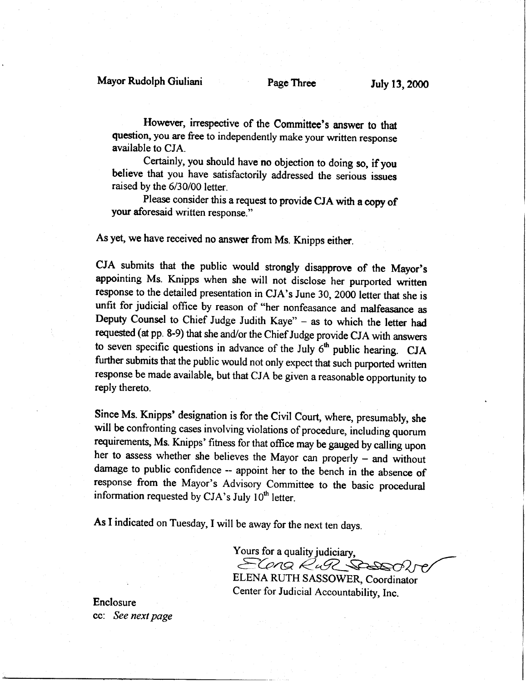## Mayor Rudolph Giuliani Page Three July 13, 2000

However, irrespective of the Committee's answer to that question, you are free to independently make your written response available to CJA.

Certainly, you should have no objection to doing so, if you believe that you have satisfactorily addressed the serious issues raised by the 6/30/00 letter.

Please consider this a request to provide CJA with a copy of your aforesaid written response."

As yet, we have received no answer from Ms. Knipps either.

CJA submits that the public would strongly disapprove of the Mayor's appointing Ms. Knipps when she will not disclose her purported written response to the detailed presentation in CJA's June 30, 2000 letter that she is unfit for judicial office by reason of "her nonfeasance and malfeasance as Deputy counsel to chief Judge Judith Kaye" - as to which the letter had requested (at pp. 8-9) that she and/or the Chief Judge provide CJA with ansvers to seven specific questions in advance of the July  $6<sup>th</sup>$  public hearing. CJA further submits that the public would not only expect that such purported written response be made available, but that CJA be given a reasonable opportunity to reply thereto.

Since Ms. Knipps' designation is for the civil court, where, presumably, she will be confronting cases involving violations of procedure, including quorum requirements, Ms. Knipps' fitness for that office may be gauged by calling upon her to assess whether she believes the Mayor can properly - and without damage to public confidence - appoint her to the bench in the absence of response from the Mayor's Advisory committee to the basic procedural information requested by CJA's July  $10<sup>th</sup>$  letter.

As I indicated on Tuesday, I will be away for the next ten days.

Yours for a quality judiciary, ELONG RUPL SPEEDER ELENA RUTH SASSOWER, Coordinator Center for Judicial Accountability, Inc.

Enclosure cc: See next page